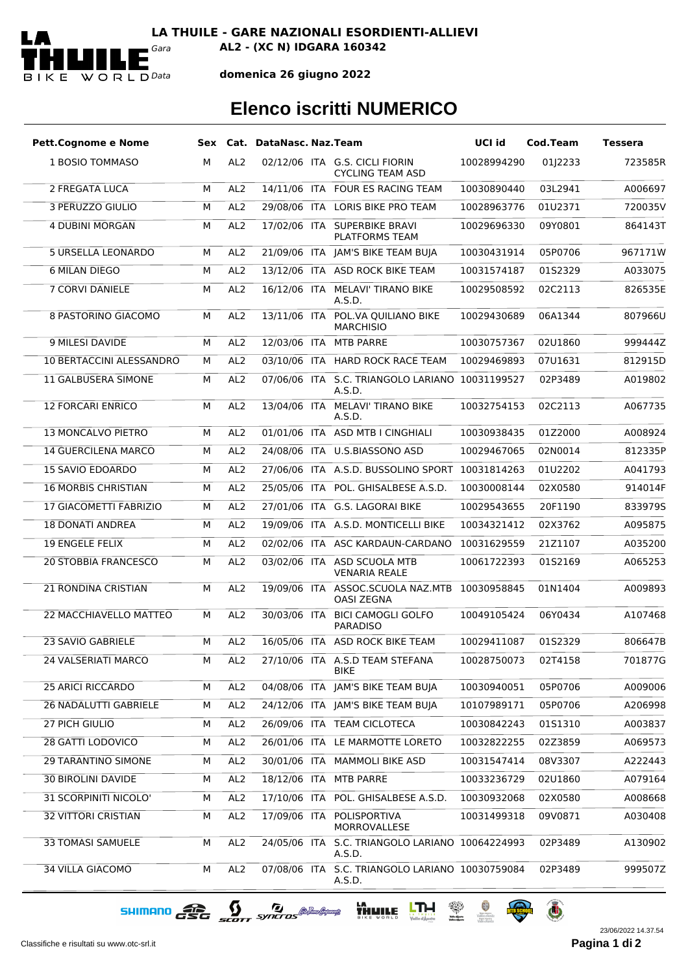

**LA THUILE - GARE NAZIONALI ESORDIENTI-ALLIEVI** *Gara* **AL2 - (XC N) IDGARA 160342**

**domenica 26 giugno 2022**

## **Elenco iscritti NUMERICO**

| <b>Pett.Cognome e Nome</b>      |   |                 | Sex Cat. DataNasc. Naz.Team |                                                           | UCI id      | <b>Cod.Team</b> | <b>Tessera</b> |
|---------------------------------|---|-----------------|-----------------------------|-----------------------------------------------------------|-------------|-----------------|----------------|
| 1 BOSIO TOMMASO                 | м | AL <sub>2</sub> |                             | 02/12/06 ITA G.S. CICLI FIORIN<br><b>CYCLING TEAM ASD</b> | 10028994290 | 01J2233         | 723585R        |
| 2 FREGATA LUCA                  | M | AL <sub>2</sub> |                             | 14/11/06 ITA FOUR ES RACING TEAM                          | 10030890440 | 03L2941         | A006697        |
| 3 PERUZZO GIULIO                | м | AL <sub>2</sub> |                             | 29/08/06 ITA LORIS BIKE PRO TEAM                          | 10028963776 | 01U2371         | 720035V        |
| 4 DUBINI MORGAN                 | м | AL <sub>2</sub> |                             | 17/02/06 ITA SUPERBIKE BRAVI<br><b>PLATFORMS TEAM</b>     | 10029696330 | 09Y0801         | 864143T        |
| 5 URSELLA LEONARDO              | м | AL <sub>2</sub> |                             | 21/09/06 ITA JAM'S BIKE TEAM BUJA                         | 10030431914 | 05P0706         | 967171W        |
| <b>6 MILAN DIEGO</b>            | м | AL <sub>2</sub> |                             | 13/12/06 ITA ASD ROCK BIKE TEAM                           | 10031574187 | 01S2329         | A033075        |
| 7 CORVI DANIELE                 | М | AL <sub>2</sub> |                             | 16/12/06 ITA MELAVI' TIRANO BIKE<br>A.S.D.                | 10029508592 | 02C2113         | 826535E        |
| <b>8 PASTORINO GIACOMO</b>      | м | AL <sub>2</sub> | 13/11/06 ITA                | POL.VA QUILIANO BIKE<br><b>MARCHISIO</b>                  | 10029430689 | 06A1344         | 807966U        |
| 9 MILESI DAVIDE                 | M | AL <sub>2</sub> |                             | 12/03/06 ITA MTB PARRE                                    | 10030757367 | 02U1860         | 999444Z        |
| <b>10 BERTACCINI ALESSANDRO</b> | м | AL <sub>2</sub> |                             | 03/10/06 ITA HARD ROCK RACE TEAM                          | 10029469893 | 07U1631         | 812915D        |
| <b>11 GALBUSERA SIMONE</b>      | м | AL <sub>2</sub> | 07/06/06 ITA                | S.C. TRIANGOLO LARIANO 10031199527<br>A.S.D.              |             | 02P3489         | A019802        |
| <b>12 FORCARI ENRICO</b>        | м | AL <sub>2</sub> | 13/04/06 ITA                | MELAVI' TIRANO BIKE<br>A.S.D.                             | 10032754153 | 02C2113         | A067735        |
| 13 MONCALVO PIETRO              | м | AL <sub>2</sub> |                             | 01/01/06 ITA ASD MTB I CINGHIALI                          | 10030938435 | 01Z2000         | A008924        |
| <b>14 GUERCILENA MARCO</b>      | м | AL <sub>2</sub> |                             | 24/08/06 ITA U.S.BIASSONO ASD                             | 10029467065 | 02N0014         | 812335P        |
| <b>15 SAVIO EDOARDO</b>         | M | AL <sub>2</sub> |                             | 27/06/06 ITA A.S.D. BUSSOLINO SPORT                       | 10031814263 | 01U2202         | A041793        |
| <b>16 MORBIS CHRISTIAN</b>      | м | AL <sub>2</sub> |                             | 25/05/06 ITA POL. GHISALBESE A.S.D.                       | 10030008144 | 02X0580         | 914014F        |
| 17 GIACOMETTI FABRIZIO          | м | AL <sub>2</sub> |                             | 27/01/06 ITA G.S. LAGORAI BIKE                            | 10029543655 | 20F1190         | 833979S        |
| <b>18 DONATI ANDREA</b>         | M | AL <sub>2</sub> |                             | 19/09/06 ITA A.S.D. MONTICELLI BIKE                       | 10034321412 | 02X3762         | A095875        |
| <b>19 ENGELE FELIX</b>          | м | AL <sub>2</sub> |                             | 02/02/06 ITA ASC KARDAUN-CARDANO                          | 10031629559 | 21Z1107         | A035200        |
| <b>20 STOBBIA FRANCESCO</b>     | м | AL <sub>2</sub> |                             | 03/02/06 ITA ASD SCUOLA MTB<br><b>VENARIA REALE</b>       | 10061722393 | 01S2169         | A065253        |
| 21 RONDINA CRISTIAN             | M | AL <sub>2</sub> |                             | 19/09/06 ITA ASSOC.SCUOLA NAZ.MTB<br><b>OASI ZEGNA</b>    | 10030958845 | 01N1404         | A009893        |
| 22 MACCHIAVELLO MATTEO          | м | AL <sub>2</sub> | 30/03/06 ITA                | <b>BICI CAMOGLI GOLFO</b><br><b>PARADISO</b>              | 10049105424 | 06Y0434         | A107468        |
| 23 SAVIO GABRIELE               | M | AL <sub>2</sub> |                             | 16/05/06 ITA ASD ROCK BIKE TEAM                           | 10029411087 | 01S2329         | 806647B        |
| 24 VALSERIATI MARCO             | М | AL <sub>2</sub> |                             | 27/10/06 ITA A.S.D TEAM STEFANA<br>BIKE                   | 10028750073 | 02T4158         | 701877G        |
| <b>25 ARICI RICCARDO</b>        | м | AL <sub>2</sub> |                             | 04/08/06 ITA JAM'S BIKE TEAM BUJA                         | 10030940051 | 05P0706         | A009006        |
| <b>26 NADALUTTI GABRIELE</b>    | м | AL <sub>2</sub> |                             | 24/12/06 ITA JAM'S BIKE TEAM BUJA                         | 10107989171 | 05P0706         | A206998        |
| 27 PICH GIULIO                  | м | AL <sub>2</sub> |                             | 26/09/06 ITA TEAM CICLOTECA                               | 10030842243 | 01S1310         | A003837        |
| 28 GATTI LODOVICO               | м | AL <sub>2</sub> |                             | 26/01/06 ITA LE MARMOTTE LORETO                           | 10032822255 | 02Z3859         | A069573        |
| <b>29 TARANTINO SIMONE</b>      | М | AL <sub>2</sub> |                             | 30/01/06 ITA MAMMOLI BIKE ASD                             | 10031547414 | 08V3307         | A222443        |
| <b>30 BIROLINI DAVIDE</b>       | м | AL <sub>2</sub> |                             | 18/12/06 ITA MTB PARRE                                    | 10033236729 | 02U1860         | A079164        |
| 31 SCORPINITI NICOLO'           | м | AL <sub>2</sub> |                             | 17/10/06 ITA POL. GHISALBESE A.S.D.                       | 10030932068 | 02X0580         | A008668        |
| <b>32 VITTORI CRISTIAN</b>      | м | AL <sub>2</sub> | 17/09/06 ITA                | POLISPORTIVA<br>MORROVALLESE                              | 10031499318 | 09V0871         | A030408        |
| <b>33 TOMASI SAMUELE</b>        | M | AL <sub>2</sub> | 24/05/06 ITA                | S.C. TRIANGOLO LARIANO 10064224993<br>A.S.D.              |             | 02P3489         | A130902        |
| 34 VILLA GIACOMO                | М | AL <sub>2</sub> |                             | 07/08/06 ITA S.C. TRIANGOLO LARIANO 10030759084<br>A.S.D. |             | 02P3489         | 999507Z        |

SHIMANO CEC SCOTT SYNCTOS @ MARIANA HALL LINE & A O